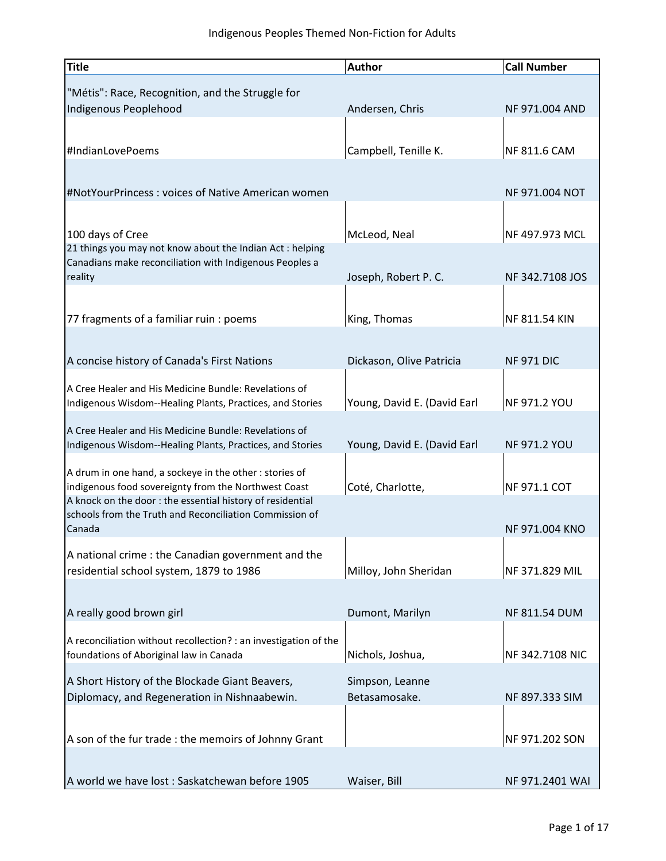| <b>Title</b>                                                                                                        | <b>Author</b>               | <b>Call Number</b>    |
|---------------------------------------------------------------------------------------------------------------------|-----------------------------|-----------------------|
| "Métis": Race, Recognition, and the Struggle for                                                                    |                             |                       |
| Indigenous Peoplehood                                                                                               | Andersen, Chris             | <b>NF 971.004 AND</b> |
|                                                                                                                     |                             |                       |
| #IndianLovePoems                                                                                                    | Campbell, Tenille K.        | NF 811.6 CAM          |
|                                                                                                                     |                             |                       |
| #NotYourPrincess: voices of Native American women                                                                   |                             | NF 971.004 NOT        |
|                                                                                                                     |                             |                       |
| 100 days of Cree                                                                                                    | McLeod, Neal                | NF 497.973 MCL        |
| 21 things you may not know about the Indian Act: helping<br>Canadians make reconciliation with Indigenous Peoples a |                             |                       |
| reality                                                                                                             | Joseph, Robert P. C.        | NF 342.7108 JOS       |
|                                                                                                                     |                             |                       |
| 77 fragments of a familiar ruin : poems                                                                             | King, Thomas                | NF 811.54 KIN         |
|                                                                                                                     |                             |                       |
| A concise history of Canada's First Nations                                                                         | Dickason, Olive Patricia    | <b>NF 971 DIC</b>     |
| A Cree Healer and His Medicine Bundle: Revelations of                                                               |                             |                       |
| Indigenous Wisdom--Healing Plants, Practices, and Stories                                                           | Young, David E. (David Earl | NF 971.2 YOU          |
| A Cree Healer and His Medicine Bundle: Revelations of                                                               |                             |                       |
| Indigenous Wisdom--Healing Plants, Practices, and Stories                                                           | Young, David E. (David Earl | <b>NF 971.2 YOU</b>   |
| A drum in one hand, a sockeye in the other : stories of                                                             |                             |                       |
| indigenous food sovereignty from the Northwest Coast<br>A knock on the door: the essential history of residential   | Coté, Charlotte,            | NF 971.1 COT          |
| schools from the Truth and Reconciliation Commission of                                                             |                             |                       |
| Canada                                                                                                              |                             | <b>NF 971.004 KNO</b> |
| A national crime : the Canadian government and the                                                                  |                             |                       |
| residential school system, 1879 to 1986                                                                             | Milloy, John Sheridan       | NF 371.829 MIL        |
|                                                                                                                     |                             |                       |
| A really good brown girl                                                                                            | Dumont, Marilyn             | <b>NF 811.54 DUM</b>  |
| A reconciliation without recollection? : an investigation of the                                                    |                             |                       |
| foundations of Aboriginal law in Canada                                                                             | Nichols, Joshua,            | NF 342.7108 NIC       |
| A Short History of the Blockade Giant Beavers,                                                                      | Simpson, Leanne             |                       |
| Diplomacy, and Regeneration in Nishnaabewin.                                                                        | Betasamosake.               | NF 897.333 SIM        |
|                                                                                                                     |                             |                       |
| A son of the fur trade : the memoirs of Johnny Grant                                                                |                             | NF 971.202 SON        |
|                                                                                                                     |                             |                       |
| A world we have lost: Saskatchewan before 1905                                                                      | Waiser, Bill                | NF 971.2401 WAI       |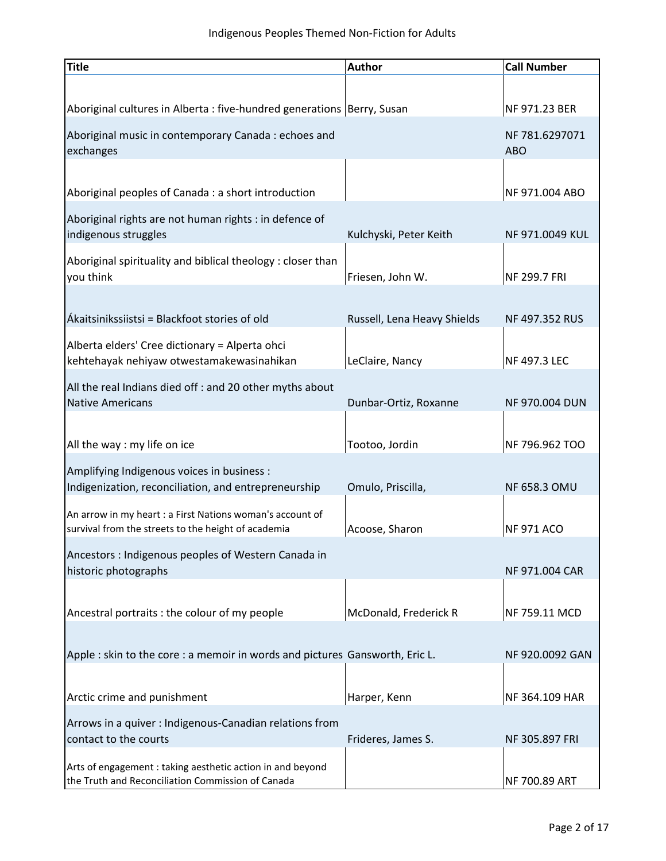| <b>Title</b>                                                                                                     | <b>Author</b>               | <b>Call Number</b>           |
|------------------------------------------------------------------------------------------------------------------|-----------------------------|------------------------------|
|                                                                                                                  |                             |                              |
| Aboriginal cultures in Alberta : five-hundred generations   Berry, Susan                                         |                             | NF 971.23 BER                |
| Aboriginal music in contemporary Canada : echoes and<br>exchanges                                                |                             | NF 781.6297071<br><b>ABO</b> |
|                                                                                                                  |                             |                              |
| Aboriginal peoples of Canada : a short introduction                                                              |                             | NF 971.004 ABO               |
| Aboriginal rights are not human rights : in defence of<br>indigenous struggles                                   | Kulchyski, Peter Keith      | NF 971.0049 KUL              |
| Aboriginal spirituality and biblical theology: closer than<br>you think                                          | Friesen, John W.            | NF 299.7 FRI                 |
|                                                                                                                  |                             |                              |
| Ákaitsinikssiistsi = Blackfoot stories of old                                                                    | Russell, Lena Heavy Shields | NF 497.352 RUS               |
| Alberta elders' Cree dictionary = Alperta ohci<br>kehtehayak nehiyaw otwestamakewasinahikan                      | LeClaire, Nancy             | NF 497.3 LEC                 |
| All the real Indians died off : and 20 other myths about                                                         |                             |                              |
| <b>Native Americans</b>                                                                                          | Dunbar-Ortiz, Roxanne       | NF 970.004 DUN               |
|                                                                                                                  |                             |                              |
| All the way : my life on ice                                                                                     | Tootoo, Jordin              | NF 796.962 TOO               |
| Amplifying Indigenous voices in business :                                                                       |                             |                              |
| Indigenization, reconciliation, and entrepreneurship                                                             | Omulo, Priscilla,           | <b>NF 658.3 OMU</b>          |
| An arrow in my heart : a First Nations woman's account of<br>survival from the streets to the height of academia | Acoose, Sharon              | <b>NF 971 ACO</b>            |
| Ancestors: Indigenous peoples of Western Canada in                                                               |                             |                              |
| historic photographs                                                                                             |                             | NF 971.004 CAR               |
|                                                                                                                  |                             |                              |
| Ancestral portraits : the colour of my people                                                                    | McDonald, Frederick R       | NF 759.11 MCD                |
|                                                                                                                  |                             |                              |
| Apple : skin to the core : a memoir in words and pictures Gansworth, Eric L.                                     |                             | NF 920.0092 GAN              |
| Arctic crime and punishment                                                                                      | Harper, Kenn                | NF 364.109 HAR               |
| Arrows in a quiver : Indigenous-Canadian relations from<br>contact to the courts                                 | Frideres, James S.          | NF 305.897 FRI               |
| Arts of engagement : taking aesthetic action in and beyond<br>the Truth and Reconciliation Commission of Canada  |                             | NF 700.89 ART                |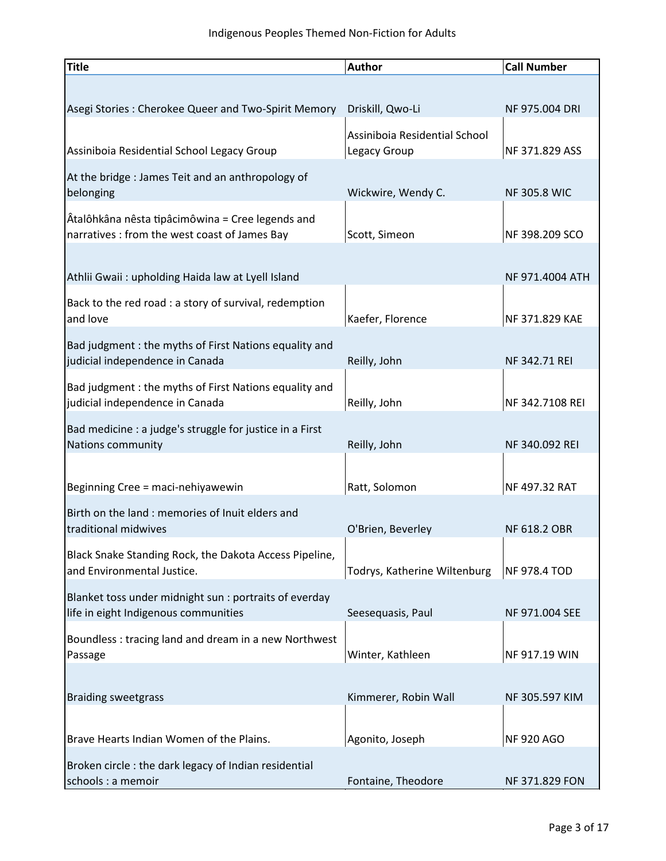| Title                                                                                             | <b>Author</b>                                 | <b>Call Number</b>  |
|---------------------------------------------------------------------------------------------------|-----------------------------------------------|---------------------|
|                                                                                                   |                                               |                     |
| Asegi Stories: Cherokee Queer and Two-Spirit Memory                                               | Driskill, Qwo-Li                              | NF 975.004 DRI      |
| Assiniboia Residential School Legacy Group                                                        | Assiniboia Residential School<br>Legacy Group | NF 371.829 ASS      |
| At the bridge: James Teit and an anthropology of                                                  |                                               |                     |
| belonging                                                                                         | Wickwire, Wendy C.                            | <b>NF 305.8 WIC</b> |
| Atalôhkâna nêsta tipâcimôwina = Cree legends and<br>narratives : from the west coast of James Bay | Scott, Simeon                                 | NF 398.209 SCO      |
|                                                                                                   |                                               |                     |
| Athlii Gwaii: upholding Haida law at Lyell Island                                                 |                                               | NF 971.4004 ATH     |
| Back to the red road : a story of survival, redemption<br>and love                                | Kaefer, Florence                              | NF 371.829 KAE      |
| Bad judgment: the myths of First Nations equality and                                             |                                               |                     |
| judicial independence in Canada                                                                   | Reilly, John                                  | NF 342.71 REI       |
| Bad judgment: the myths of First Nations equality and<br>judicial independence in Canada          | Reilly, John                                  | NF 342.7108 REI     |
| Bad medicine : a judge's struggle for justice in a First                                          |                                               |                     |
| Nations community                                                                                 | Reilly, John                                  | NF 340.092 REI      |
|                                                                                                   |                                               |                     |
| Beginning Cree = maci-nehiyawewin                                                                 | Ratt, Solomon                                 | NF 497.32 RAT       |
| Birth on the land: memories of Inuit elders and<br>traditional midwives                           | O'Brien, Beverley                             | NF 618.2 OBR        |
| Black Snake Standing Rock, the Dakota Access Pipeline,                                            |                                               |                     |
| and Environmental Justice.                                                                        | Todrys, Katherine Wiltenburg                  | <b>NF 978.4 TOD</b> |
| Blanket toss under midnight sun : portraits of everday                                            |                                               |                     |
| life in eight Indigenous communities                                                              | Seesequasis, Paul                             | NF 971.004 SEE      |
| Boundless: tracing land and dream in a new Northwest<br>Passage                                   | Winter, Kathleen                              | NF 917.19 WIN       |
|                                                                                                   |                                               |                     |
| <b>Braiding sweetgrass</b>                                                                        | Kimmerer, Robin Wall                          | NF 305.597 KIM      |
|                                                                                                   |                                               |                     |
| Brave Hearts Indian Women of the Plains.                                                          | Agonito, Joseph                               | <b>NF 920 AGO</b>   |
| Broken circle: the dark legacy of Indian residential                                              |                                               |                     |
| schools : a memoir                                                                                | Fontaine, Theodore                            | NF 371.829 FON      |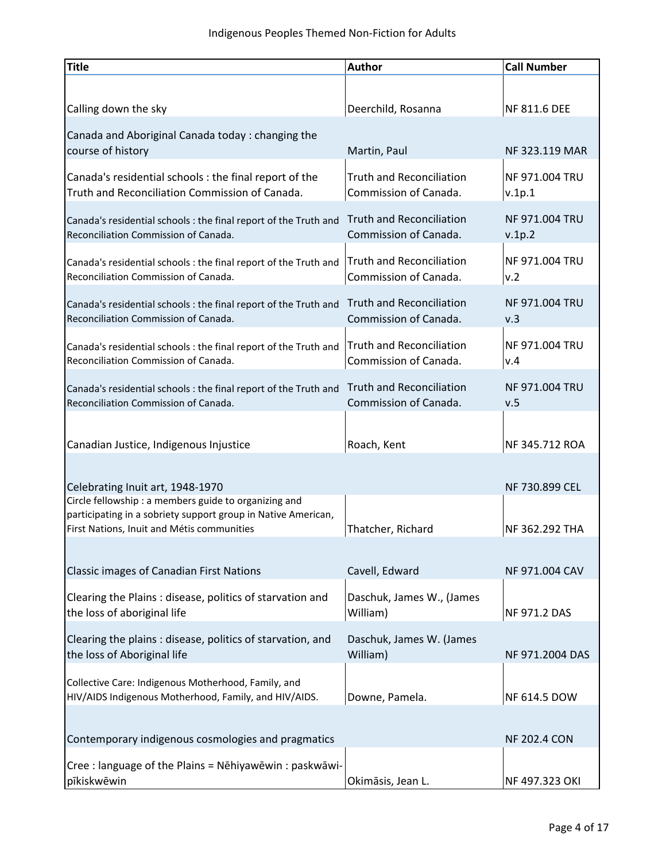| Title                                                                                                        | <b>Author</b>                                            | <b>Call Number</b>              |
|--------------------------------------------------------------------------------------------------------------|----------------------------------------------------------|---------------------------------|
|                                                                                                              |                                                          |                                 |
| Calling down the sky                                                                                         | Deerchild, Rosanna                                       | <b>NF 811.6 DEE</b>             |
| Canada and Aboriginal Canada today: changing the                                                             |                                                          |                                 |
| course of history                                                                                            | Martin, Paul                                             | NF 323.119 MAR                  |
| Canada's residential schools : the final report of the<br>Truth and Reconciliation Commission of Canada.     | <b>Truth and Reconciliation</b><br>Commission of Canada. | <b>NF 971.004 TRU</b><br>v.1p.1 |
| Canada's residential schools : the final report of the Truth and<br>Reconciliation Commission of Canada.     | <b>Truth and Reconciliation</b><br>Commission of Canada. | <b>NF 971.004 TRU</b><br>v.1p.2 |
| Canada's residential schools : the final report of the Truth and<br>Reconciliation Commission of Canada.     | <b>Truth and Reconciliation</b><br>Commission of Canada. | <b>NF 971.004 TRU</b><br>v.2    |
| Canada's residential schools : the final report of the Truth and<br>Reconciliation Commission of Canada.     | <b>Truth and Reconciliation</b><br>Commission of Canada. | <b>NF 971.004 TRU</b><br>v.3    |
| Canada's residential schools : the final report of the Truth and<br>Reconciliation Commission of Canada.     | <b>Truth and Reconciliation</b><br>Commission of Canada. | <b>NF 971.004 TRU</b><br>v.4    |
| Canada's residential schools : the final report of the Truth and<br>Reconciliation Commission of Canada.     | <b>Truth and Reconciliation</b><br>Commission of Canada. | <b>NF 971.004 TRU</b><br>v.5    |
| Canadian Justice, Indigenous Injustice                                                                       | Roach, Kent                                              | NF 345.712 ROA                  |
| Celebrating Inuit art, 1948-1970                                                                             |                                                          | NF 730.899 CEL                  |
| Circle fellowship : a members guide to organizing and                                                        |                                                          |                                 |
| participating in a sobriety support group in Native American,<br>First Nations, Inuit and Métis communities  | Thatcher, Richard                                        | NF 362.292 THA                  |
|                                                                                                              |                                                          |                                 |
| Classic images of Canadian First Nations                                                                     | Cavell, Edward                                           | NF 971.004 CAV                  |
| Clearing the Plains: disease, politics of starvation and<br>the loss of aboriginal life                      | Daschuk, James W., (James<br>William)                    | <b>NF 971.2 DAS</b>             |
| Clearing the plains: disease, politics of starvation, and<br>the loss of Aboriginal life                     | Daschuk, James W. (James<br>William)                     | NF 971.2004 DAS                 |
| Collective Care: Indigenous Motherhood, Family, and<br>HIV/AIDS Indigenous Motherhood, Family, and HIV/AIDS. | Downe, Pamela.                                           | <b>NF 614.5 DOW</b>             |
|                                                                                                              |                                                          |                                 |
| Contemporary indigenous cosmologies and pragmatics                                                           |                                                          | <b>NF 202.4 CON</b>             |
| Cree : language of the Plains = Nēhiyawēwin : paskwāwi-<br>pīkiskwēwin                                       | Okimāsis, Jean L.                                        | NF 497.323 OKI                  |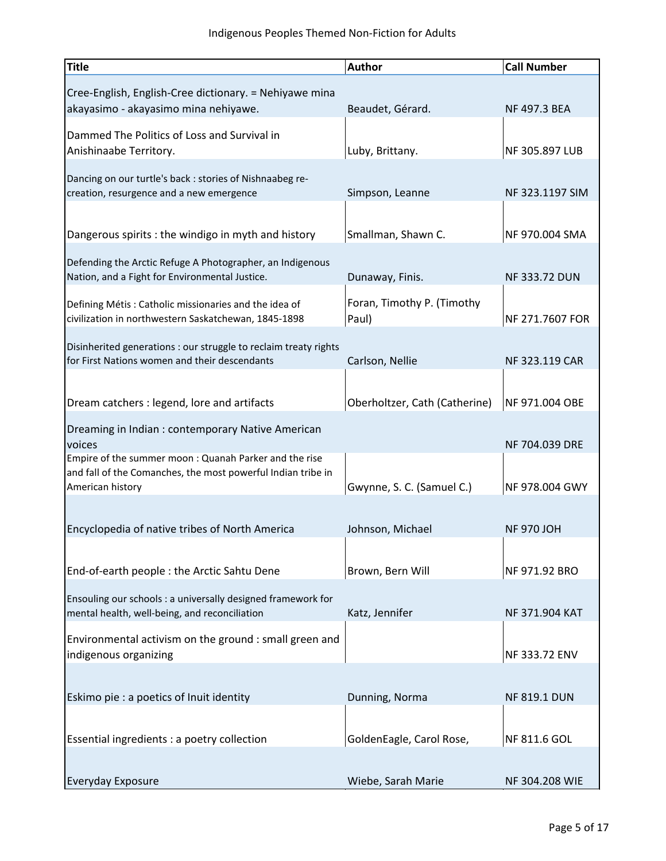| <b>Title</b>                                                                                                                               | <b>Author</b>                       | <b>Call Number</b>   |
|--------------------------------------------------------------------------------------------------------------------------------------------|-------------------------------------|----------------------|
| Cree-English, English-Cree dictionary. = Nehiyawe mina<br>akayasimo - akayasimo mina nehiyawe.                                             | Beaudet, Gérard.                    | NF 497.3 BEA         |
| Dammed The Politics of Loss and Survival in<br>Anishinaabe Territory.                                                                      | Luby, Brittany.                     | NF 305.897 LUB       |
| Dancing on our turtle's back : stories of Nishnaabeg re-<br>creation, resurgence and a new emergence                                       | Simpson, Leanne                     | NF 323.1197 SIM      |
| Dangerous spirits : the windigo in myth and history                                                                                        | Smallman, Shawn C.                  | NF 970.004 SMA       |
| Defending the Arctic Refuge A Photographer, an Indigenous<br>Nation, and a Fight for Environmental Justice.                                | Dunaway, Finis.                     | <b>NF 333.72 DUN</b> |
| Defining Métis : Catholic missionaries and the idea of<br>civilization in northwestern Saskatchewan, 1845-1898                             | Foran, Timothy P. (Timothy<br>Paul) | NF 271.7607 FOR      |
| Disinherited generations : our struggle to reclaim treaty rights<br>for First Nations women and their descendants                          | Carlson, Nellie                     | NF 323.119 CAR       |
| Dream catchers : legend, lore and artifacts                                                                                                | Oberholtzer, Cath (Catherine)       | NF 971.004 OBE       |
| Dreaming in Indian : contemporary Native American<br>voices                                                                                |                                     | NF 704.039 DRE       |
| Empire of the summer moon : Quanah Parker and the rise<br>and fall of the Comanches, the most powerful Indian tribe in<br>American history | Gwynne, S. C. (Samuel C.)           | NF 978.004 GWY       |
| Encyclopedia of native tribes of North America                                                                                             | Johnson, Michael                    | <b>NF 970 JOH</b>    |
| End-of-earth people : the Arctic Sahtu Dene                                                                                                | Brown, Bern Will                    | NF 971.92 BRO        |
| Ensouling our schools : a universally designed framework for<br>mental health, well-being, and reconciliation                              | Katz, Jennifer                      | NF 371.904 KAT       |
| Environmental activism on the ground : small green and<br>indigenous organizing                                                            |                                     | NF 333.72 ENV        |
| Eskimo pie : a poetics of Inuit identity                                                                                                   | Dunning, Norma                      | <b>NF 819.1 DUN</b>  |
| Essential ingredients : a poetry collection                                                                                                | GoldenEagle, Carol Rose,            | NF 811.6 GOL         |
| <b>Everyday Exposure</b>                                                                                                                   | Wiebe, Sarah Marie                  | NF 304.208 WIE       |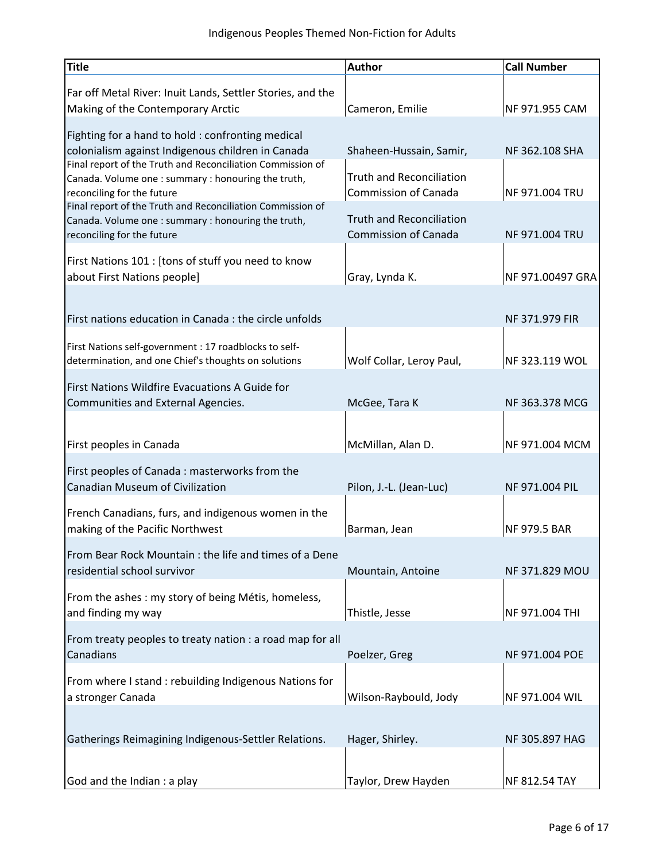| <b>Title</b>                                                                                                                                                        | <b>Author</b>                                                  | <b>Call Number</b>    |
|---------------------------------------------------------------------------------------------------------------------------------------------------------------------|----------------------------------------------------------------|-----------------------|
| Far off Metal River: Inuit Lands, Settler Stories, and the<br>Making of the Contemporary Arctic                                                                     | Cameron, Emilie                                                | NF 971.955 CAM        |
| Fighting for a hand to hold: confronting medical<br>colonialism against Indigenous children in Canada<br>Final report of the Truth and Reconciliation Commission of | Shaheen-Hussain, Samir,                                        | NF 362.108 SHA        |
| Canada. Volume one : summary : honouring the truth,<br>reconciling for the future<br>Final report of the Truth and Reconciliation Commission of                     | <b>Truth and Reconciliation</b><br><b>Commission of Canada</b> | NF 971.004 TRU        |
| Canada. Volume one : summary : honouring the truth,<br>reconciling for the future                                                                                   | <b>Truth and Reconciliation</b><br><b>Commission of Canada</b> | <b>NF 971.004 TRU</b> |
| First Nations 101 : [tons of stuff you need to know<br>about First Nations people]                                                                                  | Gray, Lynda K.                                                 | NF 971.00497 GRA      |
| First nations education in Canada : the circle unfolds                                                                                                              |                                                                | NF 371.979 FIR        |
| First Nations self-government : 17 roadblocks to self-<br>determination, and one Chief's thoughts on solutions                                                      | Wolf Collar, Leroy Paul,                                       | NF 323.119 WOL        |
| First Nations Wildfire Evacuations A Guide for<br>Communities and External Agencies.                                                                                | McGee, Tara K                                                  | NF 363.378 MCG        |
| First peoples in Canada                                                                                                                                             | McMillan, Alan D.                                              | NF 971.004 MCM        |
| First peoples of Canada: masterworks from the<br><b>Canadian Museum of Civilization</b>                                                                             | Pilon, J.-L. (Jean-Luc)                                        | NF 971.004 PIL        |
| French Canadians, furs, and indigenous women in the<br>making of the Pacific Northwest                                                                              | Barman, Jean                                                   | <b>NF 979.5 BAR</b>   |
| From Bear Rock Mountain: the life and times of a Dene<br>residential school survivor                                                                                | Mountain, Antoine                                              | NF 371.829 MOU        |
| From the ashes: my story of being Métis, homeless,<br>and finding my way                                                                                            | Thistle, Jesse                                                 | NF 971.004 THI        |
| From treaty peoples to treaty nation : a road map for all<br>Canadians                                                                                              | Poelzer, Greg                                                  | NF 971.004 POE        |
| From where I stand : rebuilding Indigenous Nations for<br>a stronger Canada                                                                                         | Wilson-Raybould, Jody                                          | NF 971.004 WIL        |
| Gatherings Reimagining Indigenous-Settler Relations.                                                                                                                | Hager, Shirley.                                                | NF 305.897 HAG        |
| God and the Indian : a play                                                                                                                                         | Taylor, Drew Hayden                                            | NF 812.54 TAY         |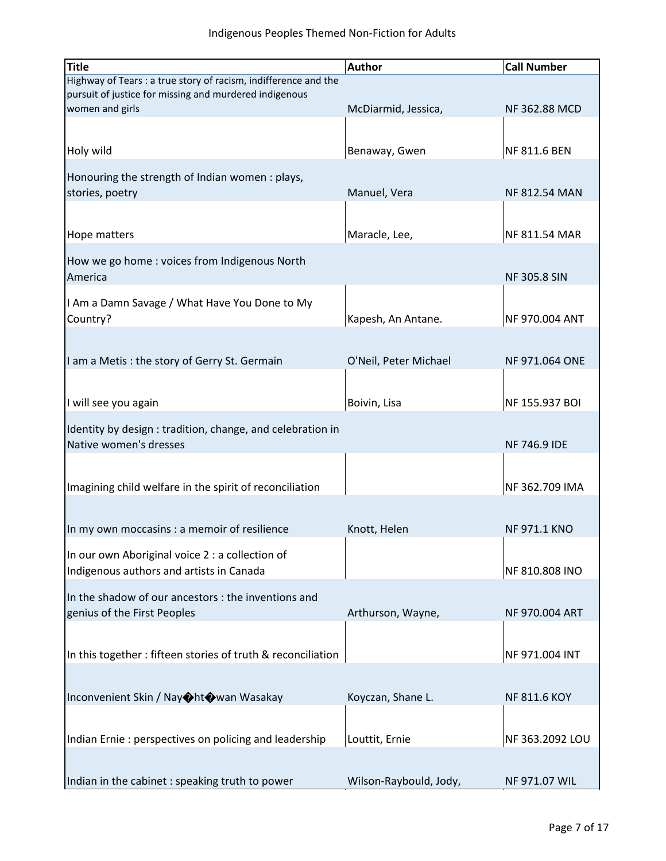| <b>Title</b>                                                    | <b>Author</b>          | <b>Call Number</b>   |
|-----------------------------------------------------------------|------------------------|----------------------|
| Highway of Tears : a true story of racism, indifference and the |                        |                      |
| pursuit of justice for missing and murdered indigenous          |                        |                      |
| women and girls                                                 | McDiarmid, Jessica,    | NF 362.88 MCD        |
|                                                                 |                        |                      |
| Holy wild                                                       | Benaway, Gwen          | NF 811.6 BEN         |
|                                                                 |                        |                      |
| Honouring the strength of Indian women: plays,                  |                        |                      |
| stories, poetry                                                 | Manuel, Vera           | <b>NF 812.54 MAN</b> |
|                                                                 |                        |                      |
|                                                                 |                        |                      |
| Hope matters                                                    | Maracle, Lee,          | NF 811.54 MAR        |
| How we go home: voices from Indigenous North                    |                        |                      |
| America                                                         |                        | <b>NF 305.8 SIN</b>  |
|                                                                 |                        |                      |
| I Am a Damn Savage / What Have You Done to My                   |                        |                      |
| Country?                                                        | Kapesh, An Antane.     | NF 970.004 ANT       |
|                                                                 |                        |                      |
| I am a Metis: the story of Gerry St. Germain                    | O'Neil, Peter Michael  | NF 971.064 ONE       |
|                                                                 |                        |                      |
|                                                                 |                        |                      |
| I will see you again                                            | Boivin, Lisa           | NF 155.937 BOI       |
|                                                                 |                        |                      |
| Identity by design: tradition, change, and celebration in       |                        |                      |
| Native women's dresses                                          |                        | <b>NF 746.9 IDE</b>  |
|                                                                 |                        |                      |
| Imagining child welfare in the spirit of reconciliation         |                        | NF 362.709 IMA       |
|                                                                 |                        |                      |
|                                                                 |                        |                      |
| In my own moccasins : a memoir of resilience                    | Knott, Helen           | <b>NF 971.1 KNO</b>  |
| In our own Aboriginal voice 2 : a collection of                 |                        |                      |
| Indigenous authors and artists in Canada                        |                        | NF 810.808 INO       |
|                                                                 |                        |                      |
| In the shadow of our ancestors : the inventions and             |                        |                      |
| genius of the First Peoples                                     | Arthurson, Wayne,      | NF 970.004 ART       |
|                                                                 |                        |                      |
|                                                                 |                        |                      |
| In this together: fifteen stories of truth & reconciliation     |                        | NF 971.004 INT       |
|                                                                 |                        |                      |
| Inconvenient Skin / Nay�ht�wan Wasakay                          | Koyczan, Shane L.      | <b>NF 811.6 KOY</b>  |
|                                                                 |                        |                      |
|                                                                 |                        |                      |
| Indian Ernie: perspectives on policing and leadership           | Louttit, Ernie         | NF 363.2092 LOU      |
|                                                                 |                        |                      |
| Indian in the cabinet : speaking truth to power                 | Wilson-Raybould, Jody, | NF 971.07 WIL        |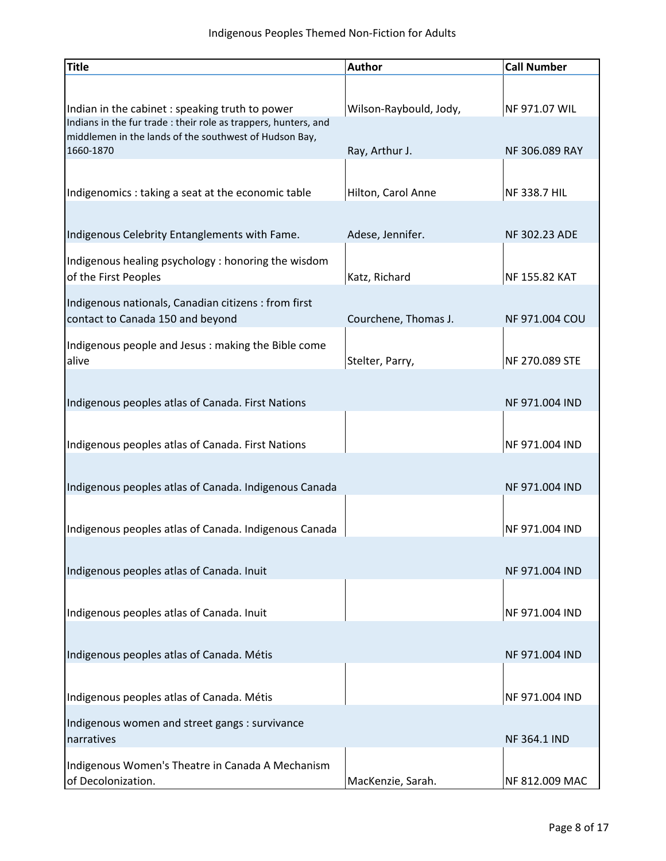| <b>Title</b>                                                                                                              | <b>Author</b>          | <b>Call Number</b>   |
|---------------------------------------------------------------------------------------------------------------------------|------------------------|----------------------|
|                                                                                                                           |                        |                      |
| Indian in the cabinet : speaking truth to power                                                                           | Wilson-Raybould, Jody, | NF 971.07 WIL        |
| Indians in the fur trade : their role as trappers, hunters, and<br>middlemen in the lands of the southwest of Hudson Bay, |                        |                      |
| 1660-1870                                                                                                                 | Ray, Arthur J.         | NF 306.089 RAY       |
|                                                                                                                           |                        |                      |
| Indigenomics : taking a seat at the economic table                                                                        | Hilton, Carol Anne     | NF 338.7 HIL         |
|                                                                                                                           |                        |                      |
| Indigenous Celebrity Entanglements with Fame.                                                                             | Adese, Jennifer.       | <b>NF 302.23 ADE</b> |
| Indigenous healing psychology : honoring the wisdom                                                                       |                        |                      |
| of the First Peoples                                                                                                      | Katz, Richard          | NF 155.82 KAT        |
| Indigenous nationals, Canadian citizens : from first                                                                      |                        |                      |
| contact to Canada 150 and beyond                                                                                          | Courchene, Thomas J.   | NF 971.004 COU       |
| Indigenous people and Jesus: making the Bible come                                                                        |                        |                      |
| alive                                                                                                                     | Stelter, Parry,        | NF 270.089 STE       |
|                                                                                                                           |                        |                      |
| Indigenous peoples atlas of Canada. First Nations                                                                         |                        | NF 971.004 IND       |
|                                                                                                                           |                        |                      |
| Indigenous peoples atlas of Canada. First Nations                                                                         |                        | NF 971.004 IND       |
| Indigenous peoples atlas of Canada. Indigenous Canada                                                                     |                        | NF 971.004 IND       |
|                                                                                                                           |                        |                      |
| Indigenous peoples atlas of Canada. Indigenous Canada                                                                     |                        | NF 971.004 IND       |
|                                                                                                                           |                        |                      |
| Indigenous peoples atlas of Canada. Inuit                                                                                 |                        | NF 971.004 IND       |
|                                                                                                                           |                        |                      |
| Indigenous peoples atlas of Canada. Inuit                                                                                 |                        | NF 971.004 IND       |
|                                                                                                                           |                        |                      |
| Indigenous peoples atlas of Canada. Métis                                                                                 |                        | NF 971.004 IND       |
|                                                                                                                           |                        |                      |
| Indigenous peoples atlas of Canada. Métis                                                                                 |                        | NF 971.004 IND       |
| Indigenous women and street gangs : survivance                                                                            |                        |                      |
| narratives                                                                                                                |                        | <b>NF 364.1 IND</b>  |
| Indigenous Women's Theatre in Canada A Mechanism                                                                          |                        |                      |
| of Decolonization.                                                                                                        | MacKenzie, Sarah.      | NF 812.009 MAC       |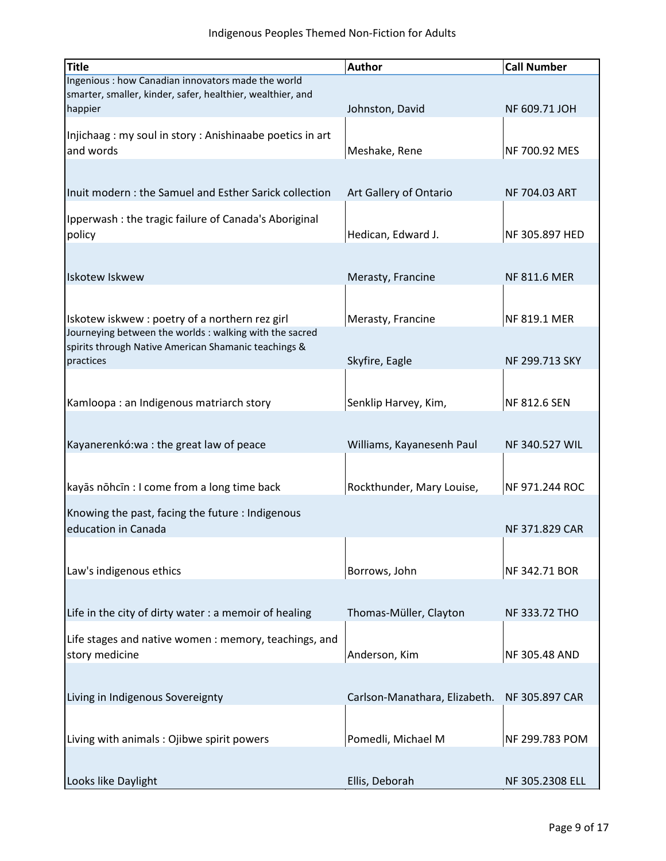| <b>Title</b>                                               | <b>Author</b>                 | <b>Call Number</b>    |
|------------------------------------------------------------|-------------------------------|-----------------------|
| Ingenious : how Canadian innovators made the world         |                               |                       |
| smarter, smaller, kinder, safer, healthier, wealthier, and |                               |                       |
| happier                                                    | Johnston, David               | NF 609.71 JOH         |
| Injichaag: my soul in story: Anishinaabe poetics in art    |                               |                       |
| and words                                                  | Meshake, Rene                 | NF 700.92 MES         |
|                                                            |                               |                       |
|                                                            |                               |                       |
| Inuit modern: the Samuel and Esther Sarick collection      | Art Gallery of Ontario        | NF 704.03 ART         |
| Ipperwash : the tragic failure of Canada's Aboriginal      |                               |                       |
| policy                                                     | Hedican, Edward J.            | NF 305.897 HED        |
|                                                            |                               |                       |
|                                                            |                               |                       |
| <b>Iskotew Iskwew</b>                                      | Merasty, Francine             | <b>NF 811.6 MER</b>   |
|                                                            |                               |                       |
| Iskotew iskwew : poetry of a northern rez girl             | Merasty, Francine             | NF 819.1 MER          |
| Journeying between the worlds : walking with the sacred    |                               |                       |
| spirits through Native American Shamanic teachings &       |                               |                       |
| practices                                                  | Skyfire, Eagle                | NF 299.713 SKY        |
|                                                            |                               |                       |
| Kamloopa: an Indigenous matriarch story                    | Senklip Harvey, Kim,          | NF 812.6 SEN          |
|                                                            |                               |                       |
|                                                            |                               |                       |
| Kayanerenkó: wa : the great law of peace                   | Williams, Kayanesenh Paul     | NF 340.527 WIL        |
|                                                            |                               |                       |
| kayās nōhcīn : I come from a long time back                | Rockthunder, Mary Louise,     | NF 971.244 ROC        |
|                                                            |                               |                       |
| Knowing the past, facing the future : Indigenous           |                               |                       |
| education in Canada                                        |                               | <b>NF 371.829 CAR</b> |
|                                                            |                               |                       |
| Law's indigenous ethics                                    | Borrows, John                 | NF 342.71 BOR         |
|                                                            |                               |                       |
|                                                            |                               |                       |
| Life in the city of dirty water : a memoir of healing      | Thomas-Müller, Clayton        | NF 333.72 THO         |
| Life stages and native women : memory, teachings, and      |                               |                       |
| story medicine                                             | Anderson, Kim                 | NF 305.48 AND         |
|                                                            |                               |                       |
|                                                            |                               |                       |
| Living in Indigenous Sovereignty                           | Carlson-Manathara, Elizabeth. | NF 305.897 CAR        |
|                                                            |                               |                       |
| Living with animals: Ojibwe spirit powers                  | Pomedli, Michael M            | NF 299.783 POM        |
|                                                            |                               |                       |
|                                                            |                               |                       |
| Looks like Daylight                                        | Ellis, Deborah                | NF 305.2308 ELL       |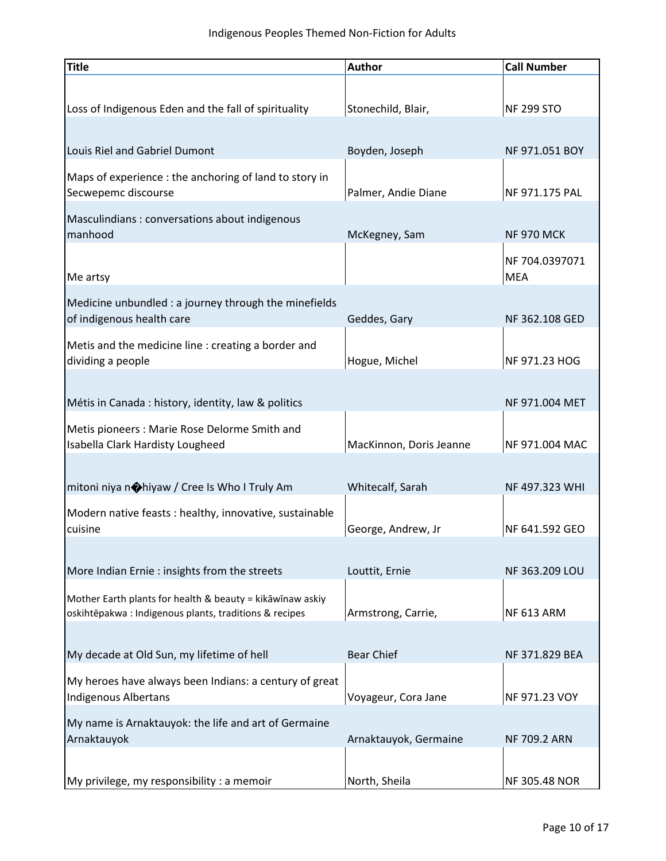| <b>Title</b>                                                                                                       | <b>Author</b>           | <b>Call Number</b>           |
|--------------------------------------------------------------------------------------------------------------------|-------------------------|------------------------------|
|                                                                                                                    |                         |                              |
| Loss of Indigenous Eden and the fall of spirituality                                                               | Stonechild, Blair,      | <b>NF 299 STO</b>            |
|                                                                                                                    |                         |                              |
| Louis Riel and Gabriel Dumont                                                                                      | Boyden, Joseph          | NF 971.051 BOY               |
| Maps of experience : the anchoring of land to story in<br>Secwepemc discourse                                      | Palmer, Andie Diane     | NF 971.175 PAL               |
| Masculindians: conversations about indigenous<br>manhood                                                           | McKegney, Sam           | <b>NF 970 MCK</b>            |
| Me artsy                                                                                                           |                         | NF 704.0397071<br><b>MEA</b> |
| Medicine unbundled : a journey through the minefields<br>of indigenous health care                                 | Geddes, Gary            | NF 362.108 GED               |
| Metis and the medicine line : creating a border and                                                                |                         |                              |
| dividing a people                                                                                                  | Hogue, Michel           | NF 971.23 HOG                |
| Métis in Canada : history, identity, law & politics                                                                |                         | NF 971.004 MET               |
| Metis pioneers: Marie Rose Delorme Smith and<br>Isabella Clark Hardisty Lougheed                                   | MacKinnon, Doris Jeanne | NF 971.004 MAC               |
| mitoni niya nohiyaw / Cree Is Who I Truly Am                                                                       | Whitecalf, Sarah        | NF 497.323 WHI               |
| Modern native feasts : healthy, innovative, sustainable                                                            |                         |                              |
| cuisine                                                                                                            | George, Andrew, Jr      | NF 641.592 GEO               |
|                                                                                                                    |                         |                              |
| More Indian Ernie : insights from the streets                                                                      | Louttit, Ernie          | NF 363.209 LOU               |
| Mother Earth plants for health & beauty = kikāwīnaw askiy<br>oskihtēpakwa: Indigenous plants, traditions & recipes | Armstrong, Carrie,      | <b>NF 613 ARM</b>            |
| My decade at Old Sun, my lifetime of hell                                                                          | <b>Bear Chief</b>       | NF 371.829 BEA               |
| My heroes have always been Indians: a century of great<br><b>Indigenous Albertans</b>                              | Voyageur, Cora Jane     | NF 971.23 VOY                |
| My name is Arnaktauyok: the life and art of Germaine<br>Arnaktauyok                                                | Arnaktauyok, Germaine   | <b>NF 709.2 ARN</b>          |
| My privilege, my responsibility : a memoir                                                                         | North, Sheila           | <b>NF 305.48 NOR</b>         |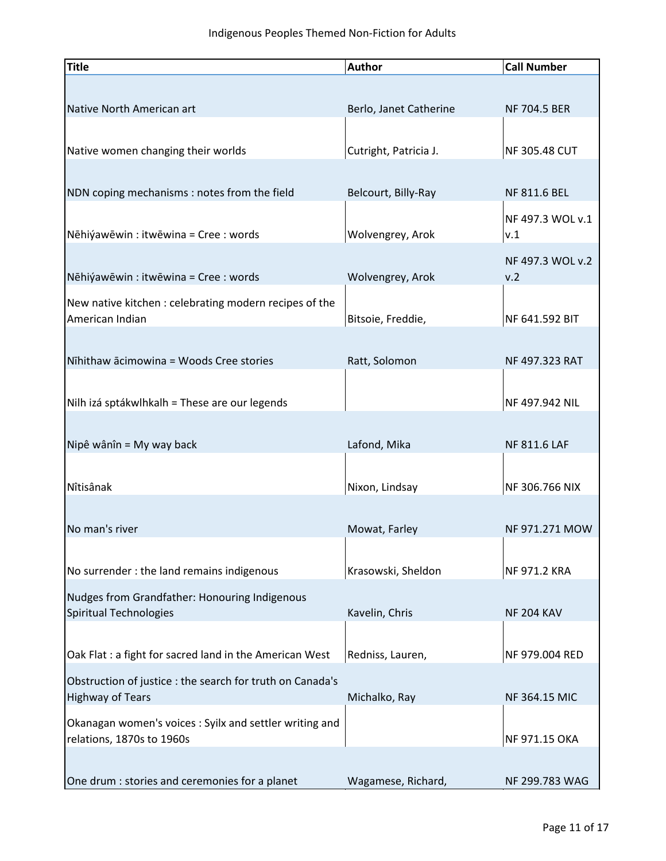| <b>Title</b>                                                                         | <b>Author</b>          | <b>Call Number</b>   |
|--------------------------------------------------------------------------------------|------------------------|----------------------|
|                                                                                      |                        |                      |
| Native North American art                                                            | Berlo, Janet Catherine | <b>NF 704.5 BER</b>  |
|                                                                                      |                        |                      |
| Native women changing their worlds                                                   | Cutright, Patricia J.  | <b>NF 305.48 CUT</b> |
|                                                                                      |                        |                      |
| NDN coping mechanisms : notes from the field                                         | Belcourt, Billy-Ray    | NF 811.6 BEL         |
|                                                                                      |                        | NF 497.3 WOL v.1     |
| Nēhiýawēwin : itwēwina = Cree : words                                                | Wolvengrey, Arok       | v.1                  |
|                                                                                      |                        | NF 497.3 WOL v.2     |
| Nēhiýawēwin : itwēwina = Cree : words                                                | Wolvengrey, Arok       | v.2                  |
| New native kitchen : celebrating modern recipes of the                               |                        |                      |
| American Indian                                                                      | Bitsoie, Freddie,      | NF 641.592 BIT       |
|                                                                                      |                        |                      |
| Nīhithaw ācimowina = Woods Cree stories                                              | Ratt, Solomon          | NF 497.323 RAT       |
|                                                                                      |                        |                      |
| Nilh izá sptákwlhkalh = These are our legends                                        |                        | NF 497.942 NIL       |
|                                                                                      |                        |                      |
| Nipê wânîn = My way back                                                             | Lafond, Mika           | <b>NF 811.6 LAF</b>  |
|                                                                                      |                        |                      |
| Nîtisânak                                                                            | Nixon, Lindsay         | NF 306.766 NIX       |
| No man's river                                                                       | Mowat, Farley          | NF 971.271 MOW       |
|                                                                                      |                        |                      |
| No surrender : the land remains indigenous                                           | Krasowski, Sheldon     | NF 971.2 KRA         |
|                                                                                      |                        |                      |
| Nudges from Grandfather: Honouring Indigenous<br>Spiritual Technologies              | Kavelin, Chris         | <b>NF 204 KAV</b>    |
|                                                                                      |                        |                      |
| Oak Flat : a fight for sacred land in the American West                              | Redniss, Lauren,       | NF 979.004 RED       |
|                                                                                      |                        |                      |
| Obstruction of justice : the search for truth on Canada's<br><b>Highway of Tears</b> | Michalko, Ray          | NF 364.15 MIC        |
| Okanagan women's voices: Syilx and settler writing and                               |                        |                      |
| relations, 1870s to 1960s                                                            |                        | NF 971.15 OKA        |
|                                                                                      |                        |                      |
| One drum : stories and ceremonies for a planet                                       | Wagamese, Richard,     | NF 299.783 WAG       |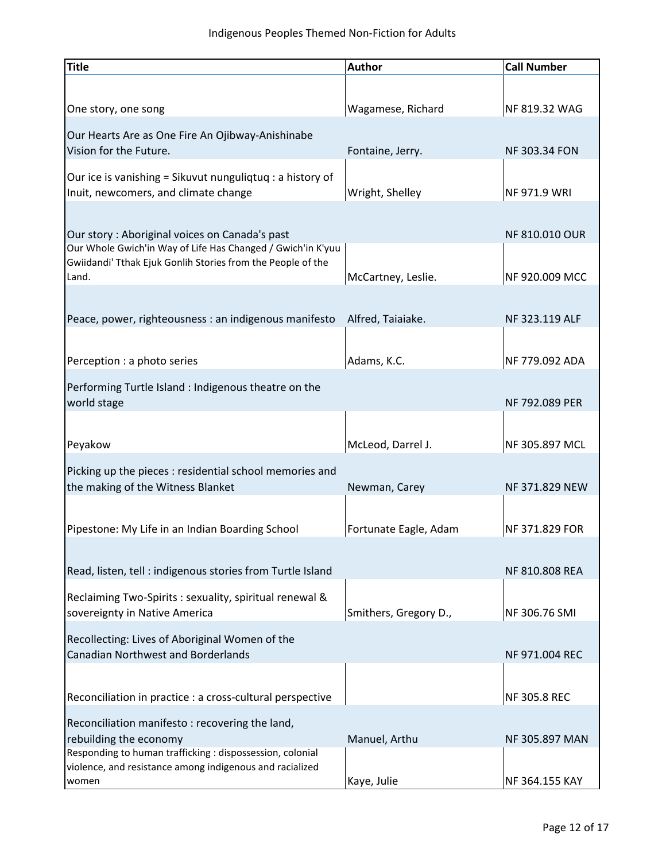| <b>Title</b>                                                                                                 | <b>Author</b>         | <b>Call Number</b>   |
|--------------------------------------------------------------------------------------------------------------|-----------------------|----------------------|
|                                                                                                              |                       |                      |
| One story, one song                                                                                          | Wagamese, Richard     | NF 819.32 WAG        |
|                                                                                                              |                       |                      |
| Our Hearts Are as One Fire An Ojibway-Anishinabe                                                             |                       |                      |
| Vision for the Future.                                                                                       | Fontaine, Jerry.      | <b>NF 303.34 FON</b> |
| Our ice is vanishing = Sikuvut nunguliqtuq : a history of                                                    |                       |                      |
| Inuit, newcomers, and climate change                                                                         | Wright, Shelley       | <b>NF 971.9 WRI</b>  |
|                                                                                                              |                       |                      |
|                                                                                                              |                       |                      |
| Our story: Aboriginal voices on Canada's past<br>Our Whole Gwich'in Way of Life Has Changed / Gwich'in K'yuu |                       | NF 810.010 OUR       |
| Gwiidandi' Tthak Ejuk Gonlih Stories from the People of the                                                  |                       |                      |
| Land.                                                                                                        | McCartney, Leslie.    | NF 920.009 MCC       |
|                                                                                                              |                       |                      |
|                                                                                                              |                       |                      |
| Peace, power, righteousness : an indigenous manifesto                                                        | Alfred, Taiaiake.     | NF 323.119 ALF       |
|                                                                                                              |                       |                      |
| Perception : a photo series                                                                                  | Adams, K.C.           | NF 779.092 ADA       |
|                                                                                                              |                       |                      |
| Performing Turtle Island : Indigenous theatre on the                                                         |                       |                      |
| world stage                                                                                                  |                       | NF 792.089 PER       |
|                                                                                                              |                       |                      |
| Peyakow                                                                                                      | McLeod, Darrel J.     | NF 305.897 MCL       |
|                                                                                                              |                       |                      |
| Picking up the pieces : residential school memories and                                                      |                       |                      |
| the making of the Witness Blanket                                                                            | Newman, Carey         | NF 371.829 NEW       |
|                                                                                                              |                       |                      |
| Pipestone: My Life in an Indian Boarding School                                                              | Fortunate Eagle, Adam | NF 371.829 FOR       |
|                                                                                                              |                       |                      |
|                                                                                                              |                       |                      |
| Read, listen, tell : indigenous stories from Turtle Island                                                   |                       | NF 810.808 REA       |
| Reclaiming Two-Spirits : sexuality, spiritual renewal &                                                      |                       |                      |
| sovereignty in Native America                                                                                | Smithers, Gregory D., | NF 306.76 SMI        |
|                                                                                                              |                       |                      |
| Recollecting: Lives of Aboriginal Women of the                                                               |                       |                      |
| <b>Canadian Northwest and Borderlands</b>                                                                    |                       | NF 971.004 REC       |
|                                                                                                              |                       |                      |
| Reconciliation in practice : a cross-cultural perspective                                                    |                       | <b>NF 305.8 REC</b>  |
|                                                                                                              |                       |                      |
| Reconciliation manifesto: recovering the land,                                                               |                       |                      |
| rebuilding the economy<br>Responding to human trafficking : dispossession, colonial                          | Manuel, Arthu         | NF 305.897 MAN       |
| violence, and resistance among indigenous and racialized                                                     |                       |                      |
| women                                                                                                        | Kaye, Julie           | NF 364.155 KAY       |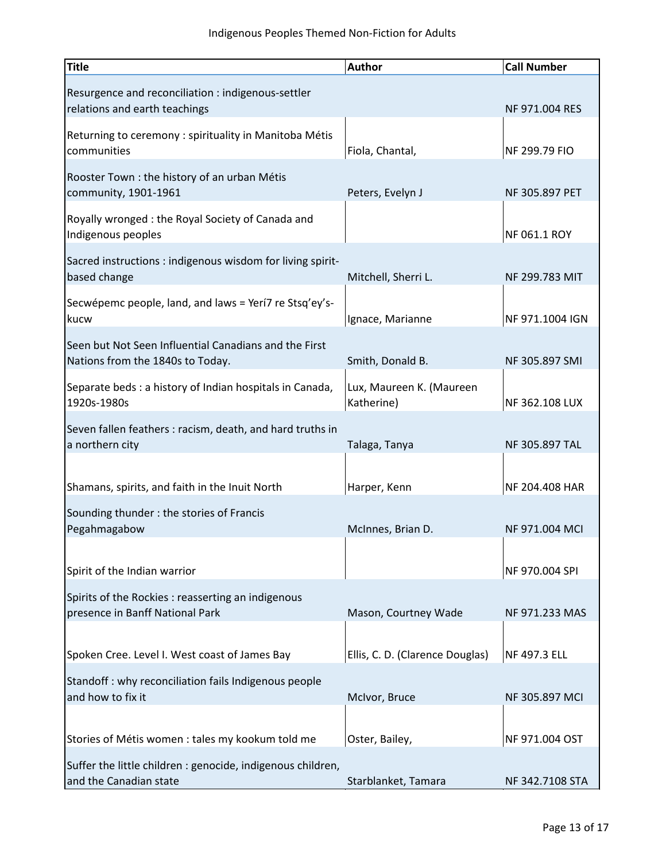| <b>Title</b>                                                                              | <b>Author</b>                          | <b>Call Number</b> |
|-------------------------------------------------------------------------------------------|----------------------------------------|--------------------|
| Resurgence and reconciliation : indigenous-settler<br>relations and earth teachings       |                                        | NF 971.004 RES     |
| Returning to ceremony : spirituality in Manitoba Métis<br>communities                     | Fiola, Chantal,                        | NF 299.79 FIO      |
| Rooster Town: the history of an urban Métis<br>community, 1901-1961                       | Peters, Evelyn J                       | NF 305.897 PET     |
| Royally wronged: the Royal Society of Canada and<br>Indigenous peoples                    |                                        | NF 061.1 ROY       |
| Sacred instructions : indigenous wisdom for living spirit-<br>based change                | Mitchell, Sherri L.                    | NF 299.783 MIT     |
| Secwépemc people, land, and laws = Yerí7 re Stsq'ey's-<br>kucw                            | Ignace, Marianne                       | NF 971.1004 IGN    |
| Seen but Not Seen Influential Canadians and the First<br>Nations from the 1840s to Today. | Smith, Donald B.                       | NF 305.897 SMI     |
| Separate beds : a history of Indian hospitals in Canada,<br>1920s-1980s                   | Lux, Maureen K. (Maureen<br>Katherine) | NF 362.108 LUX     |
| Seven fallen feathers: racism, death, and hard truths in<br>a northern city               | Talaga, Tanya                          | NF 305.897 TAL     |
| Shamans, spirits, and faith in the Inuit North                                            | Harper, Kenn                           | NF 204.408 HAR     |
| Sounding thunder : the stories of Francis<br>Pegahmagabow                                 | McInnes, Brian D.                      | NF 971.004 MCI     |
| Spirit of the Indian warrior                                                              |                                        | NF 970.004 SPI     |
| Spirits of the Rockies : reasserting an indigenous<br>presence in Banff National Park     | Mason, Courtney Wade                   | NF 971.233 MAS     |
| Spoken Cree. Level I. West coast of James Bay                                             | Ellis, C. D. (Clarence Douglas)        | NF 497.3 ELL       |
| Standoff: why reconciliation fails Indigenous people<br>and how to fix it                 | McIvor, Bruce                          | NF 305.897 MCI     |
| Stories of Métis women : tales my kookum told me                                          | Oster, Bailey,                         | NF 971.004 OST     |
| Suffer the little children : genocide, indigenous children,<br>and the Canadian state     | Starblanket, Tamara                    | NF 342.7108 STA    |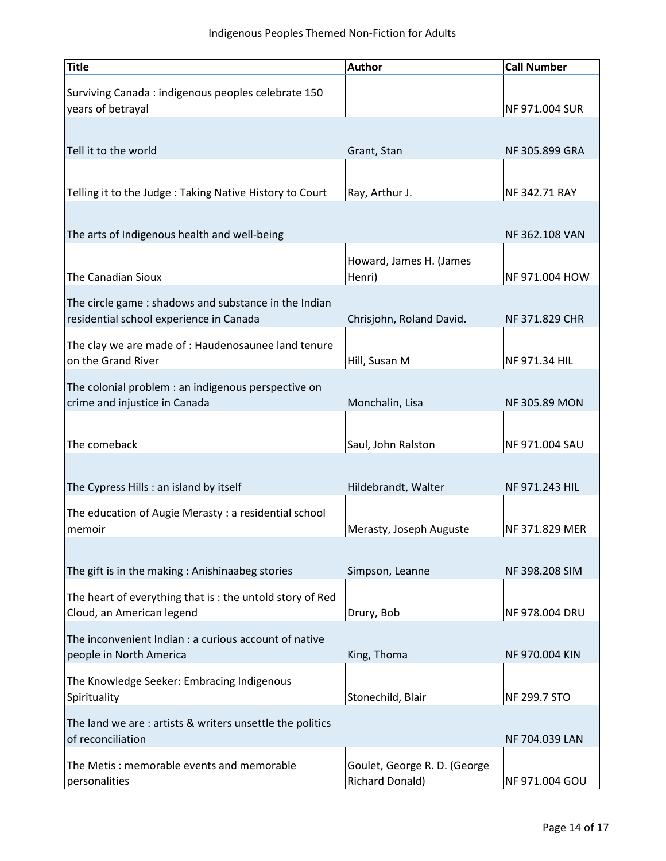| <b>Title</b>                                                                         | <b>Author</b>                                          | <b>Call Number</b>   |
|--------------------------------------------------------------------------------------|--------------------------------------------------------|----------------------|
| Surviving Canada: indigenous peoples celebrate 150<br>years of betrayal              |                                                        | NF 971.004 SUR       |
|                                                                                      |                                                        |                      |
| Tell it to the world                                                                 | Grant, Stan                                            | NF 305.899 GRA       |
|                                                                                      |                                                        |                      |
| Telling it to the Judge: Taking Native History to Court                              | Ray, Arthur J.                                         | NF 342.71 RAY        |
|                                                                                      |                                                        |                      |
| The arts of Indigenous health and well-being                                         |                                                        | NF 362.108 VAN       |
|                                                                                      | Howard, James H. (James                                |                      |
| <b>The Canadian Sioux</b>                                                            | Henri)                                                 | NF 971.004 HOW       |
| The circle game: shadows and substance in the Indian                                 |                                                        |                      |
| residential school experience in Canada                                              | Chrisjohn, Roland David.                               | NF 371.829 CHR       |
| The clay we are made of: Haudenosaunee land tenure<br>on the Grand River             | Hill, Susan M                                          | NF 971.34 HIL        |
|                                                                                      |                                                        |                      |
| The colonial problem : an indigenous perspective on<br>crime and injustice in Canada | Monchalin, Lisa                                        | <b>NF 305.89 MON</b> |
|                                                                                      |                                                        |                      |
| The comeback                                                                         | Saul, John Ralston                                     | NF 971.004 SAU       |
|                                                                                      |                                                        |                      |
| The Cypress Hills: an island by itself                                               | Hildebrandt, Walter                                    | NF 971.243 HIL       |
| The education of Augie Merasty: a residential school                                 |                                                        |                      |
| memoir                                                                               | Merasty, Joseph Auguste                                | NF 371.829 MER       |
|                                                                                      |                                                        |                      |
| The gift is in the making: Anishinaabeg stories                                      | Simpson, Leanne                                        | NF 398.208 SIM       |
| The heart of everything that is: the untold story of Red                             |                                                        |                      |
| Cloud, an American legend                                                            | Drury, Bob                                             | NF 978.004 DRU       |
| The inconvenient Indian : a curious account of native                                |                                                        |                      |
| people in North America                                                              | King, Thoma                                            | NF 970.004 KIN       |
| The Knowledge Seeker: Embracing Indigenous<br>Spirituality                           | Stonechild, Blair                                      | NF 299.7 STO         |
| The land we are: artists & writers unsettle the politics                             |                                                        |                      |
| of reconciliation                                                                    |                                                        | NF 704.039 LAN       |
| The Metis: memorable events and memorable<br>personalities                           | Goulet, George R. D. (George<br><b>Richard Donald)</b> | NF 971.004 GOU       |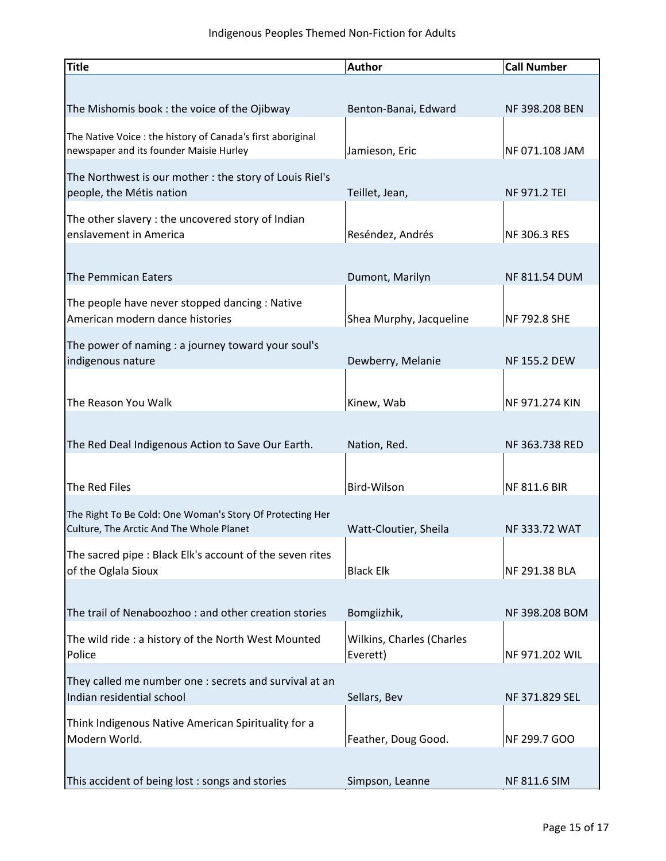| <b>Title</b>                                                | <b>Author</b>             | <b>Call Number</b>   |
|-------------------------------------------------------------|---------------------------|----------------------|
|                                                             |                           |                      |
| The Mishomis book: the voice of the Ojibway                 | Benton-Banai, Edward      | NF 398.208 BEN       |
| The Native Voice : the history of Canada's first aboriginal |                           |                      |
| newspaper and its founder Maisie Hurley                     | Jamieson, Eric            | NF 071.108 JAM       |
| The Northwest is our mother: the story of Louis Riel's      |                           |                      |
| people, the Métis nation                                    | Teillet, Jean,            | <b>NF 971.2 TEI</b>  |
| The other slavery: the uncovered story of Indian            |                           |                      |
| enslavement in America                                      | Reséndez, Andrés          | NF 306.3 RES         |
|                                                             |                           |                      |
| The Pemmican Eaters                                         | Dumont, Marilyn           | <b>NF 811.54 DUM</b> |
| The people have never stopped dancing : Native              |                           |                      |
| American modern dance histories                             | Shea Murphy, Jacqueline   | NF 792.8 SHE         |
| The power of naming : a journey toward your soul's          |                           |                      |
| indigenous nature                                           | Dewberry, Melanie         | <b>NF 155.2 DEW</b>  |
|                                                             |                           |                      |
| The Reason You Walk                                         | Kinew, Wab                | NF 971.274 KIN       |
|                                                             |                           |                      |
| The Red Deal Indigenous Action to Save Our Earth.           | Nation, Red.              | NF 363.738 RED       |
|                                                             |                           |                      |
| The Red Files                                               | Bird-Wilson               | <b>NF 811.6 BIR</b>  |
| The Right To Be Cold: One Woman's Story Of Protecting Her   |                           |                      |
| Culture, The Arctic And The Whole Planet                    | Watt-Cloutier, Sheila     | NF 333.72 WAT        |
| The sacred pipe : Black Elk's account of the seven rites    |                           |                      |
| of the Oglala Sioux                                         | <b>Black Elk</b>          | NF 291.38 BLA        |
|                                                             |                           |                      |
| The trail of Nenaboozhoo: and other creation stories        | Bomgiizhik,               | NF 398.208 BOM       |
| The wild ride : a history of the North West Mounted         | Wilkins, Charles (Charles |                      |
| Police                                                      | Everett)                  | NF 971.202 WIL       |
| They called me number one : secrets and survival at an      |                           |                      |
| Indian residential school                                   | Sellars, Bev              | NF 371.829 SEL       |
| Think Indigenous Native American Spirituality for a         |                           |                      |
| Modern World.                                               | Feather, Doug Good.       | NF 299.7 GOO         |
|                                                             |                           |                      |
| This accident of being lost: songs and stories              | Simpson, Leanne           | NF 811.6 SIM         |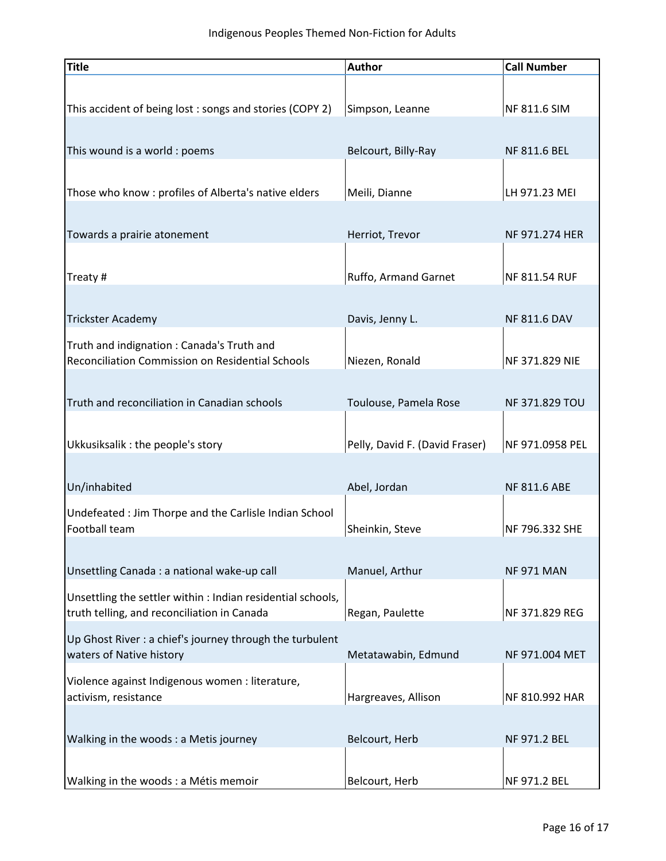| <b>Title</b>                                                                                               | <b>Author</b>                  | <b>Call Number</b>  |
|------------------------------------------------------------------------------------------------------------|--------------------------------|---------------------|
| This accident of being lost: songs and stories (COPY 2)                                                    | Simpson, Leanne                | NF 811.6 SIM        |
| This wound is a world : poems                                                                              | Belcourt, Billy-Ray            | NF 811.6 BEL        |
| Those who know : profiles of Alberta's native elders                                                       | Meili, Dianne                  | LH 971.23 MEI       |
| Towards a prairie atonement                                                                                | Herriot, Trevor                | NF 971.274 HER      |
| Treaty #                                                                                                   | Ruffo, Armand Garnet           | NF 811.54 RUF       |
| <b>Trickster Academy</b>                                                                                   | Davis, Jenny L.                | <b>NF 811.6 DAV</b> |
| Truth and indignation: Canada's Truth and<br>Reconciliation Commission on Residential Schools              | Niezen, Ronald                 | NF 371.829 NIE      |
| Truth and reconciliation in Canadian schools                                                               | Toulouse, Pamela Rose          | NF 371.829 TOU      |
| Ukkusiksalik : the people's story                                                                          | Pelly, David F. (David Fraser) | NF 971.0958 PEL     |
| Un/inhabited                                                                                               | Abel, Jordan                   | NF 811.6 ABE        |
| Undefeated : Jim Thorpe and the Carlisle Indian School<br>Football team                                    | Sheinkin, Steve                | NF 796.332 SHE      |
| Unsettling Canada : a national wake-up call                                                                | Manuel, Arthur                 | <b>NF 971 MAN</b>   |
| Unsettling the settler within : Indian residential schools,<br>truth telling, and reconciliation in Canada | Regan, Paulette                | NF 371.829 REG      |
| Up Ghost River : a chief's journey through the turbulent<br>waters of Native history                       | Metatawabin, Edmund            | NF 971.004 MET      |
| Violence against Indigenous women : literature,<br>activism, resistance                                    | Hargreaves, Allison            | NF 810.992 HAR      |
| Walking in the woods: a Metis journey                                                                      | Belcourt, Herb                 | NF 971.2 BEL        |
| Walking in the woods : a Métis memoir                                                                      | Belcourt, Herb                 | NF 971.2 BEL        |